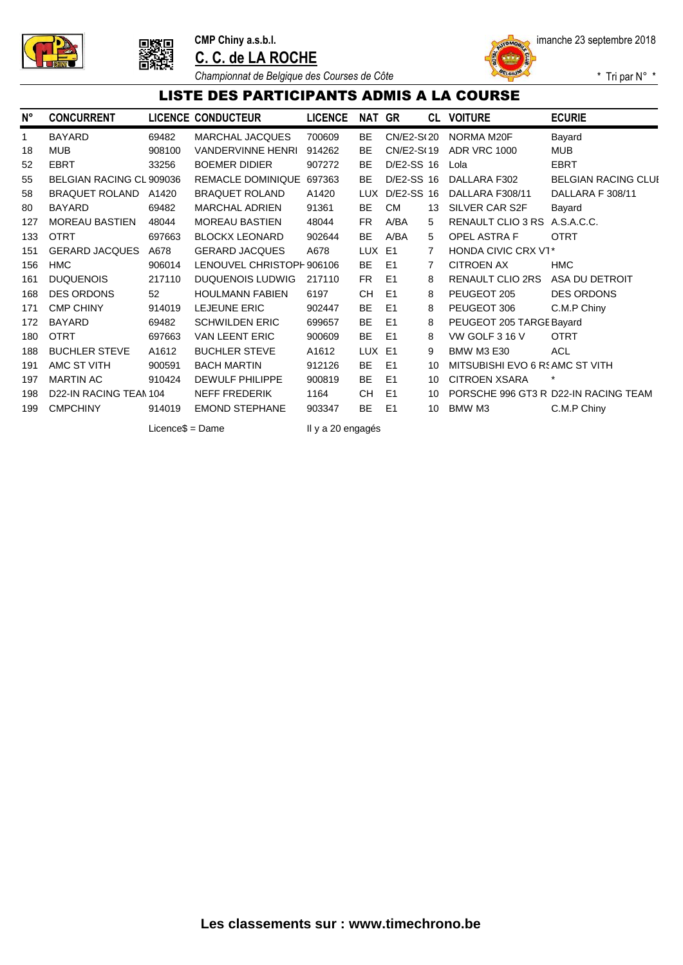





*Championnat de Belgique des Courses de Côte*

\* Tri par N° \*

#### LISTE DES PARTICIPANTS ADMIS A LA COURSE

| N°  | <b>CONCURRENT</b>        |        | LICENCE CONDUCTEUR        | <b>LICENCE</b> | NAT        | GR             | CL | <b>VOITURE</b>                  | <b>ECURIE</b>                        |
|-----|--------------------------|--------|---------------------------|----------------|------------|----------------|----|---------------------------------|--------------------------------------|
| 1   | <b>BAYARD</b>            | 69482  | <b>MARCHAL JACQUES</b>    | 700609         | <b>BE</b>  | CN/E2-S(20     |    | NORMA M20F                      | Bayard                               |
| 18  | <b>MUB</b>               | 908100 | <b>VANDERVINNE HENRI</b>  | 914262         | BE         | CN/E2-S(19     |    | <b>ADR VRC 1000</b>             | <b>MUB</b>                           |
| 52  | <b>EBRT</b>              | 33256  | <b>BOEMER DIDIER</b>      | 907272         | BE         | D/E2-SS 16     |    | Lola                            | <b>EBRT</b>                          |
| 55  | BELGIAN RACING CL 909036 |        | <b>REMACLE DOMINIQUE</b>  | 697363         | <b>BE</b>  | D/E2-SS 16     |    | DALLARA F302                    | <b>BELGIAN RACING CLUI</b>           |
| 58  | <b>BRAQUET ROLAND</b>    | A1420  | <b>BRAQUET ROLAND</b>     | A1420          | <b>LUX</b> | D/E2-SS 16     |    | DALLARA F308/11                 | DALLARA F 308/11                     |
| 80  | <b>BAYARD</b>            | 69482  | <b>MARCHAL ADRIEN</b>     | 91361          | <b>BE</b>  | <b>CM</b>      | 13 | SILVER CAR S2F                  | Bayard                               |
| 127 | <b>MOREAU BASTIEN</b>    | 48044  | <b>MOREAU BASTIEN</b>     | 48044          | FR.        | A/BA           | 5  | RENAULT CLIO 3 RS               | A.S.A.C.C.                           |
| 133 | <b>OTRT</b>              | 697663 | <b>BLOCKX LEONARD</b>     | 902644         | <b>BE</b>  | A/BA           | 5  | <b>OPEL ASTRA F</b>             | <b>OTRT</b>                          |
| 151 | <b>GERARD JACQUES</b>    | A678   | <b>GERARD JACQUES</b>     | A678           | <b>LUX</b> | E <sub>1</sub> | 7  | HONDA CIVIC CRX VT*             |                                      |
| 156 | <b>HMC</b>               | 906014 | LENOUVEL CHRISTOPH 906106 |                | <b>BE</b>  | E <sub>1</sub> | 7  | <b>CITROEN AX</b>               | <b>HMC</b>                           |
| 161 | <b>DUQUENOIS</b>         | 217110 | <b>DUQUENOIS LUDWIG</b>   | 217110         | FR.        | E <sub>1</sub> | 8  | RENAULT CLIO 2RS                | ASA DU DETROIT                       |
| 168 | <b>DES ORDONS</b>        | 52     | <b>HOULMANN FABIEN</b>    | 6197           | <b>CH</b>  | E <sub>1</sub> | 8  | PEUGEOT 205                     | <b>DES ORDONS</b>                    |
| 171 | <b>CMP CHINY</b>         | 914019 | <b>LEJEUNE ERIC</b>       | 902447         | <b>BE</b>  | E <sub>1</sub> | 8  | PEUGEOT 306                     | C.M.P Chiny                          |
| 172 | <b>BAYARD</b>            | 69482  | <b>SCHWILDEN ERIC</b>     | 699657         | <b>BE</b>  | E <sub>1</sub> | 8  | PEUGEOT 205 TARGE Bayard        |                                      |
| 180 | <b>OTRT</b>              | 697663 | <b>VAN LEENT ERIC</b>     | 900609         | <b>BE</b>  | E <sub>1</sub> | 8  | VW GOLF 3 16 V                  | <b>OTRT</b>                          |
| 188 | <b>BUCHLER STEVE</b>     | A1612  | <b>BUCHLER STEVE</b>      | A1612          | <b>LUX</b> | E <sub>1</sub> | 9  | <b>BMW M3 E30</b>               | <b>ACL</b>                           |
| 191 | AMC ST VITH              | 900591 | <b>BACH MARTIN</b>        | 912126         | <b>BE</b>  | E <sub>1</sub> | 10 | MITSUBISHI EVO 6 RS AMC ST VITH |                                      |
| 197 | <b>MARTIN AC</b>         | 910424 | <b>DEWULF PHILIPPE</b>    | 900819         | <b>BE</b>  | E <sub>1</sub> | 10 | <b>CITROEN XSARA</b>            | $\star$                              |
| 198 | D22-IN RACING TEAN 104   |        | <b>NEFF FREDERIK</b>      | 1164           | <b>CH</b>  | E1             | 10 |                                 | PORSCHE 996 GT3 R D22-IN RACING TEAM |
| 199 | <b>CMPCHINY</b>          | 914019 | <b>EMOND STEPHANE</b>     | 903347         | <b>BE</b>  | E1             | 10 | BMW M3                          | C.M.P Chiny                          |

Licence\$ = Dame Il y a 20 engagés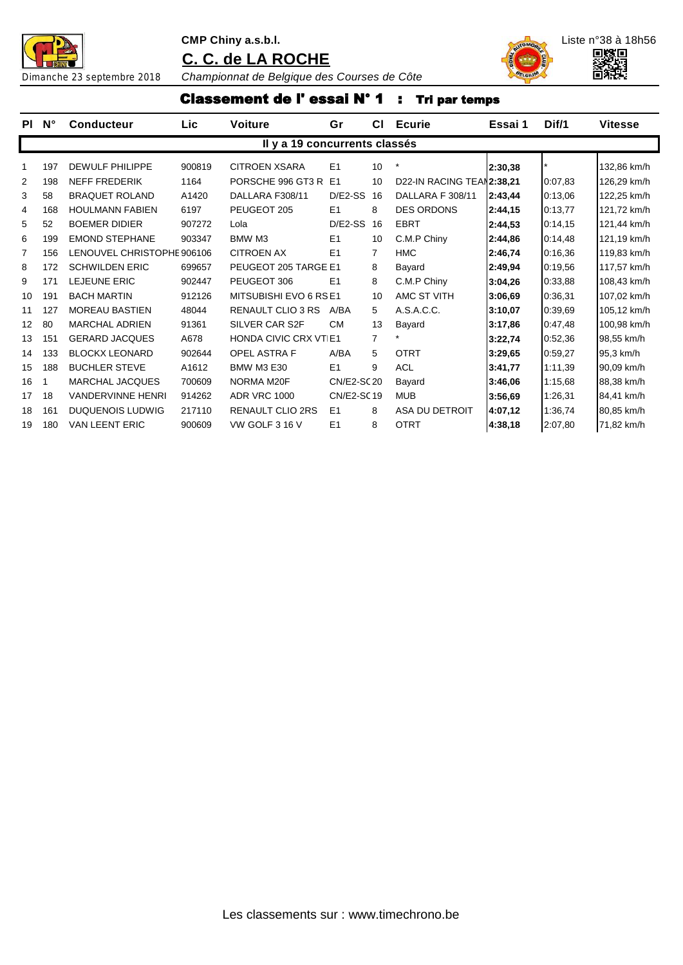

#### **CMP Chiny a.s.b.l.** Liste n°38 à 18h56

**C. C. de LA ROCHE**





Dimanche 23 septembre 2018 *Championnat de Belgique des Courses de Côte*

# Classement de l' essai N° 1 : Tri par temps

| PL             | $\mathsf{N}^\circ$ | <b>Conducteur</b>          | Lic    | <b>Voiture</b>                | Gr             | СI             | <b>Ecurie</b>             | Essai 1 | Dif/1   | <b>Vitesse</b> |
|----------------|--------------------|----------------------------|--------|-------------------------------|----------------|----------------|---------------------------|---------|---------|----------------|
|                |                    |                            |        | Il y a 19 concurrents classés |                |                |                           |         |         |                |
| 1              | 197                | DEWULF PHILIPPE            | 900819 | CITROEN XSARA                 | E1             | 10             |                           | 2:30,38 |         | 132.86 km/h    |
| 2              | 198                | <b>NEFF FREDERIK</b>       | 1164   | PORSCHE 996 GT3 R E1          |                | 10             | D22-IN RACING TEAN2:38,21 |         | 0:07.83 | 126,29 km/h    |
| 3              | 58                 | <b>BRAQUET ROLAND</b>      | A1420  | DALLARA F308/11               | D/E2-SS 16     |                | DALLARA F 308/11          | 2:43,44 | 0:13,06 | 122,25 km/h    |
| 4              | 168                | <b>HOULMANN FABIEN</b>     | 6197   | PEUGEOT 205                   | E <sub>1</sub> | 8              | <b>DES ORDONS</b>         | 2:44,15 | 0:13,77 | 121,72 km/h    |
| 5              | 52                 | <b>BOEMER DIDIER</b>       | 907272 | Lola                          | D/E2-SS        | 16             | <b>EBRT</b>               | 2:44.53 | 0:14.15 | 121,44 km/h    |
| 6              | 199                | <b>EMOND STEPHANE</b>      | 903347 | BMW M3                        | E <sub>1</sub> | 10             | C.M.P Chiny               | 2:44,86 | 0:14,48 | 121,19 km/h    |
| $\overline{7}$ | 156                | LENOUVEL CHRISTOPHE 906106 |        | <b>CITROEN AX</b>             | E1             | 7              | <b>HMC</b>                | 2:46.74 | 0:16,36 | 119,83 km/h    |
| 8              | 172                | <b>SCHWILDEN ERIC</b>      | 699657 | PEUGEOT 205 TARGE E1          |                | 8              | Bayard                    | 2:49,94 | 0:19,56 | 117,57 km/h    |
| 9              | 171                | <b>LEJEUNE ERIC</b>        | 902447 | PEUGEOT 306                   | E1             | 8              | C.M.P Chiny               | 3:04,26 | 0:33,88 | 108,43 km/h    |
| 10             | 191                | <b>BACH MARTIN</b>         | 912126 | MITSUBISHI EVO 6 RS E1        |                | 10             | AMC ST VITH               | 3:06.69 | 0:36,31 | 107,02 km/h    |
| 11             | 127                | <b>MOREAU BASTIEN</b>      | 48044  | <b>RENAULT CLIO 3 RS</b>      | A/BA           | 5              | A.S.A.C.C.                | 3:10,07 | 0:39,69 | 105,12 km/h    |
| 12             | 80                 | <b>MARCHAL ADRIEN</b>      | 91361  | SILVER CAR S2F                | <b>CM</b>      | 13             | Bayard                    | 3:17,86 | 0:47.48 | 100,98 km/h    |
| 13             | 151                | <b>GERARD JACQUES</b>      | A678   | <b>HONDA CIVIC CRX VT E1</b>  |                | $\overline{7}$ |                           | 3:22,74 | 0:52,36 | 98,55 km/h     |
| 14             | 133                | <b>BLOCKX LEONARD</b>      | 902644 | <b>OPEL ASTRA F</b>           | A/BA           | 5              | <b>OTRT</b>               | 3:29.65 | 0:59.27 | 95,3 km/h      |
| 15             | 188                | <b>BUCHLER STEVE</b>       | A1612  | <b>BMW M3 E30</b>             | E1             | 9              | <b>ACL</b>                | 3:41,77 | 1:11,39 | 90,09 km/h     |
| 16             |                    | <b>MARCHAL JACQUES</b>     | 700609 | NORMA M20F                    | CN/E2-SC 20    |                | Bayard                    | 3:46.06 | 1:15.68 | 88,38 km/h     |
| 17             | 18                 | <b>VANDERVINNE HENRI</b>   | 914262 | <b>ADR VRC 1000</b>           | CN/E2-SC19     |                | <b>MUB</b>                | 3:56.69 | 1:26,31 | 84,41 km/h     |
| 18             | 161                | <b>DUQUENOIS LUDWIG</b>    | 217110 | <b>RENAULT CLIO 2RS</b>       | E1             | 8              | ASA DU DETROIT            | 4:07.12 | 1:36,74 | 80,85 km/h     |
| 19             | 180                | <b>VAN LEENT ERIC</b>      | 900609 | VW GOLF 3 16 V                | E1             | 8              | <b>OTRT</b>               | 4:38,18 | 2:07,80 | 71,82 km/h     |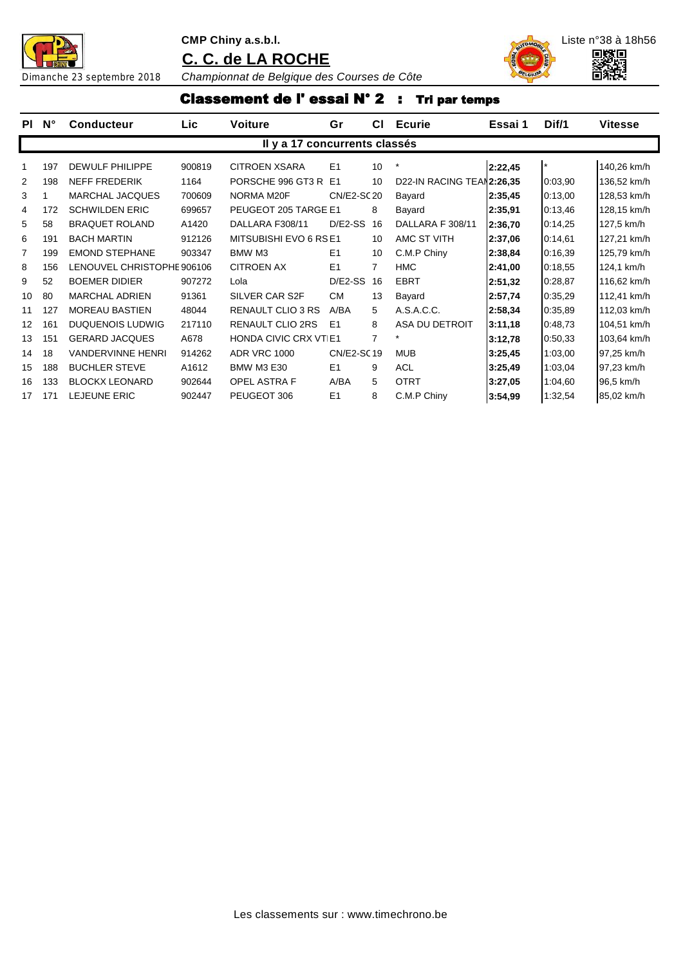



Dimanche 23 septembre 2018 *Championnat de Belgique des Courses de Côte*

## Classement de l' essai N° 2 : Tri par temps

| PI. | $N^{\circ}$ | <b>Conducteur</b>          | Lic    | <b>Voiture</b>                | Gr             | СI | <b>Ecurie</b>             | Essai 1 | Dif/1   | <b>Vitesse</b> |
|-----|-------------|----------------------------|--------|-------------------------------|----------------|----|---------------------------|---------|---------|----------------|
|     |             |                            |        | Il y a 17 concurrents classés |                |    |                           |         |         |                |
| 1   | 197         | <b>DEWULF PHILIPPE</b>     | 900819 | <b>CITROEN XSARA</b>          | E1             | 10 | $\ast$                    | 2:22,45 |         | 140,26 km/h    |
| 2   | 198         | <b>NEFF FREDERIK</b>       | 1164   | PORSCHE 996 GT3 R E1          |                | 10 | D22-IN RACING TEAN2:26,35 |         | 0:03,90 | 136,52 km/h    |
| 3   |             | <b>MARCHAL JACQUES</b>     | 700609 | NORMA M20F                    | CN/E2-SC 20    |    | Bayard                    | 2:35,45 | 0:13,00 | 128,53 km/h    |
| 4   | 172         | <b>SCHWILDEN ERIC</b>      | 699657 | PEUGEOT 205 TARGE E1          |                | 8  | Bayard                    | 2:35,91 | 0:13,46 | 128,15 km/h    |
| 5   | 58          | <b>BRAQUET ROLAND</b>      | A1420  | DALLARA F308/11               | $D/E2-SS$      | 16 | DALLARA F 308/11          | 2:36,70 | 0:14,25 | 127,5 km/h     |
| 6   | 191         | <b>BACH MARTIN</b>         | 912126 | MITSUBISHI EVO 6 RS E1        |                | 10 | AMC ST VITH               | 2:37,06 | 0:14,61 | 127,21 km/h    |
| 7   | 199         | <b>EMOND STEPHANE</b>      | 903347 | BMW M3                        | E <sub>1</sub> | 10 | C.M.P Chiny               | 2:38,84 | 0:16,39 | 125,79 km/h    |
| 8   | 156         | LENOUVEL CHRISTOPHE 906106 |        | <b>CITROEN AX</b>             | E1             | 7  | <b>HMC</b>                | 2:41,00 | 0:18,55 | 124,1 km/h     |
| 9   | 52          | <b>BOEMER DIDIER</b>       | 907272 | Lola                          | $D/E2-SS$      | 16 | <b>EBRT</b>               | 2:51,32 | 0:28,87 | 116,62 km/h    |
| 10  | 80          | <b>MARCHAL ADRIEN</b>      | 91361  | SILVER CAR S2F                | <b>CM</b>      | 13 | Bayard                    | 2:57,74 | 0:35,29 | 112,41 km/h    |
| 11  | 127         | <b>MOREAU BASTIEN</b>      | 48044  | <b>RENAULT CLIO 3 RS</b>      | A/BA           | 5  | A.S.A.C.C.                | 2:58,34 | 0:35,89 | 112,03 km/h    |
| 12  | 161         | <b>DUQUENOIS LUDWIG</b>    | 217110 | <b>RENAULT CLIO 2RS</b>       | E1             | 8  | ASA DU DETROIT            | 3:11,18 | 0:48,73 | 104,51 km/h    |
| 13  | 151         | <b>GERARD JACQUES</b>      | A678   | <b>HONDA CIVIC CRX VT E1</b>  |                | 7  | $\star$                   | 3:12,78 | 0:50,33 | 103,64 km/h    |
| 14  | 18          | <b>VANDERVINNE HENRI</b>   | 914262 | <b>ADR VRC 1000</b>           | CN/E2-SC19     |    | <b>MUB</b>                | 3:25,45 | 1:03.00 | 97,25 km/h     |
| 15  | 188         | <b>BUCHLER STEVE</b>       | A1612  | <b>BMW M3 E30</b>             | E1             | 9  | <b>ACL</b>                | 3:25,49 | 1:03.04 | 97,23 km/h     |
| 16  | 133         | <b>BLOCKX LEONARD</b>      | 902644 | <b>OPEL ASTRA F</b>           | A/BA           | 5  | <b>OTRT</b>               | 3:27,05 | 1:04,60 | 96,5 km/h      |
| 17  | 171         | <b>LEJEUNE ERIC</b>        | 902447 | PEUGEOT 306                   | E1             | 8  | C.M.P Chiny               | 3:54,99 | 1:32,54 | 85,02 km/h     |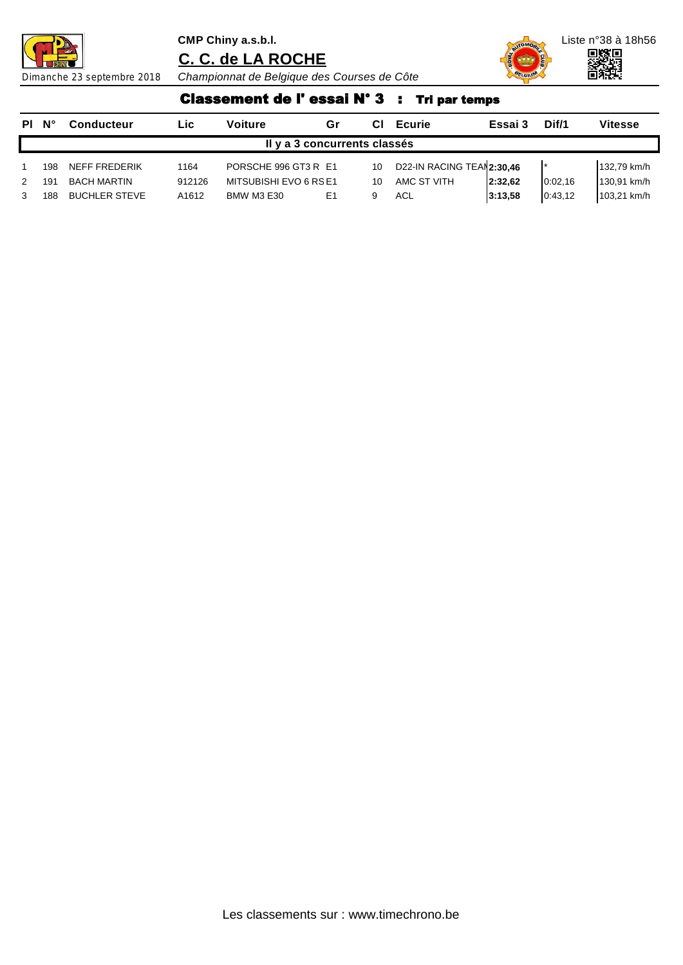



Dimanche 23 septembre 2018 *Championnat de Belgique des Courses de Côte*

# Classement de l' essai N° 3 : Tri par temps

| PI N° |                              | <b>Conducteur</b>    | Lic.   | Voiture                | Gr |    | <b>Ecurie</b>              | Essai 3 | Dif/1    | <b>Vitesse</b> |  |  |  |
|-------|------------------------------|----------------------|--------|------------------------|----|----|----------------------------|---------|----------|----------------|--|--|--|
|       | Il y a 3 concurrents classés |                      |        |                        |    |    |                            |         |          |                |  |  |  |
|       | 198                          | NEFF FREDERIK        | 1164   | PORSCHE 996 GT3 R E1   |    | 10 | D22-IN RACING TEAM 2:30,46 |         |          | 132,79 km/h    |  |  |  |
| 2     | 191                          | BACH MARTIN          | 912126 | MITSUBISHI EVO 6 RS E1 |    | 10 | AMC ST VITH                | 2:32.62 | 0:02.16  | 130,91 km/h    |  |  |  |
|       | 188                          | <b>BUCHLER STEVE</b> | A1612  | <b>BMW M3 E30</b>      | E1 |    | ACL                        | 3:13,58 | 0.43, 12 | 103,21 km/h    |  |  |  |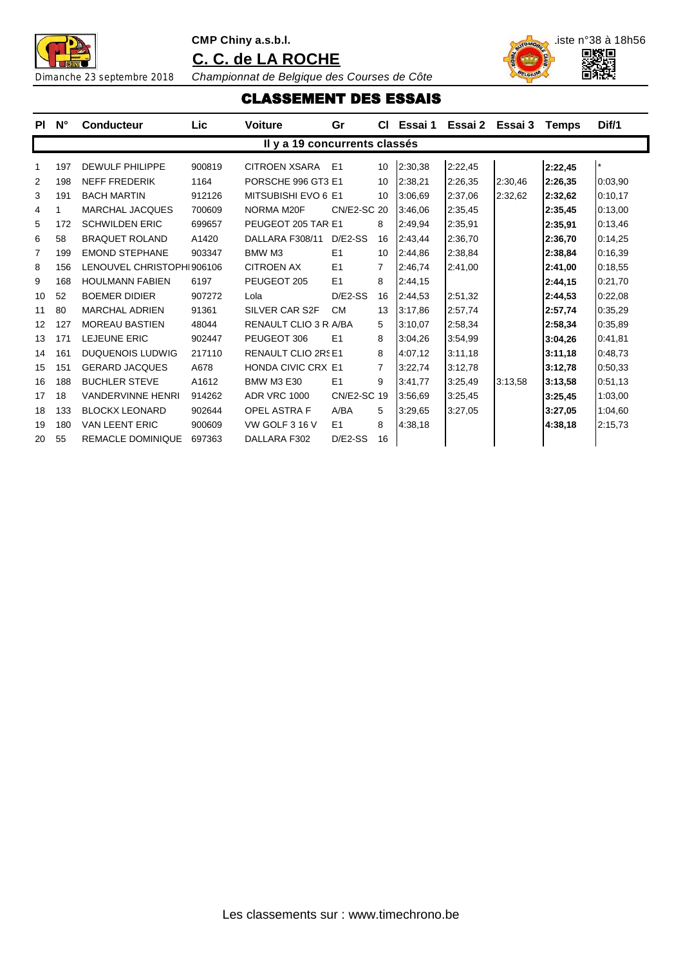



Dimanche 23 septembre 2018 *Championnat de Belgique des Courses de Côte*

CLASSEMENT DES ESSAIS

| PL | $N^{\circ}$ | <b>Conducteur</b>         | Lic    | <b>Voiture</b>                | Gr                 | CI.            | Essai 1 | Essai 2 Essai 3 |         | <b>Temps</b> | Dif/1   |
|----|-------------|---------------------------|--------|-------------------------------|--------------------|----------------|---------|-----------------|---------|--------------|---------|
|    |             |                           |        | Il y a 19 concurrents classés |                    |                |         |                 |         |              |         |
| 1  | 197         | <b>DEWULF PHILIPPE</b>    | 900819 | <b>CITROEN XSARA</b>          | E1                 | 10             | 2:30,38 | 2:22,45         |         | 2:22,45      | $\star$ |
| 2  | 198         | <b>NEFF FREDERIK</b>      | 1164   | PORSCHE 996 GT3 E1            |                    | 10             | 2:38.21 | 2:26,35         | 2:30.46 | 2:26.35      | 0:03,90 |
| 3  | 191         | <b>BACH MARTIN</b>        | 912126 | MITSUBISHI EVO 6 E1           |                    | 10             | 3:06,69 | 2:37,06         | 2:32,62 | 2:32,62      | 0:10.17 |
| 4  |             | <b>MARCHAL JACQUES</b>    | 700609 | NORMA M20F                    | <b>CN/E2-SC 20</b> |                | 3:46,06 | 2:35,45         |         | 2:35,45      | 0:13,00 |
| 5  | 172         | <b>SCHWILDEN ERIC</b>     | 699657 | PEUGEOT 205 TAR E1            |                    | 8              | 2:49,94 | 2:35,91         |         | 2:35,91      | 0:13,46 |
| 6  | 58          | <b>BRAQUET ROLAND</b>     | A1420  | DALLARA F308/11               | $D/E2-SS$          | 16             | 2:43,44 | 2:36,70         |         | 2:36,70      | 0:14,25 |
| 7  | 199         | <b>EMOND STEPHANE</b>     | 903347 | BMW M3                        | E1                 | 10             | 2:44,86 | 2:38,84         |         | 2:38.84      | 0:16,39 |
| 8  | 156         | LENOUVEL CHRISTOPHI906106 |        | <b>CITROEN AX</b>             | E1                 | 7              | 2:46.74 | 2:41,00         |         | 2:41,00      | 0:18,55 |
| 9  | 168         | <b>HOULMANN FABIEN</b>    | 6197   | PEUGEOT 205                   | E1                 | 8              | 2:44,15 |                 |         | 2:44,15      | 0:21,70 |
| 10 | 52          | <b>BOEMER DIDIER</b>      | 907272 | Lola                          | $D/E2-SS$          | 16             | 2:44.53 | 2:51.32         |         | 2:44,53      | 0:22.08 |
| 11 | 80          | <b>MARCHAL ADRIEN</b>     | 91361  | SILVER CAR S2F                | <b>CM</b>          | 13             | 3:17,86 | 2:57,74         |         | 2:57,74      | 0:35,29 |
| 12 | 127         | <b>MOREAU BASTIEN</b>     | 48044  | RENAULT CLIO 3 R A/BA         |                    | 5              | 3:10.07 | 2:58,34         |         | 2:58,34      | 0:35,89 |
| 13 | 171         | LEJEUNE ERIC              | 902447 | PEUGEOT 306                   | E1                 | 8              | 3:04.26 | 3:54,99         |         | 3:04,26      | 0:41,81 |
| 14 | 161         | <b>DUQUENOIS LUDWIG</b>   | 217110 | <b>RENAULT CLIO 2RS E1</b>    |                    | 8              | 4:07.12 | 3:11,18         |         | 3:11,18      | 0:48,73 |
| 15 | 151         | <b>GERARD JACQUES</b>     | A678   | <b>HONDA CIVIC CRX E1</b>     |                    | $\overline{7}$ | 3:22.74 | 3:12.78         |         | 3:12.78      | 0:50.33 |
| 16 | 188         | <b>BUCHLER STEVE</b>      | A1612  | <b>BMW M3 E30</b>             | E1                 | 9              | 3:41,77 | 3:25,49         | 3:13,58 | 3:13,58      | 0:51,13 |
| 17 | 18          | <b>VANDERVINNE HENRI</b>  | 914262 | <b>ADR VRC 1000</b>           | CN/E2-SC 19        |                | 3:56,69 | 3:25,45         |         | 3:25,45      | 1:03,00 |
| 18 | 133         | <b>BLOCKX LEONARD</b>     | 902644 | <b>OPEL ASTRA F</b>           | A/BA               | 5              | 3:29.65 | 3:27,05         |         | 3:27,05      | 1:04.60 |
| 19 | 180         | <b>VAN LEENT ERIC</b>     | 900609 | VW GOLF 3 16 V                | E <sub>1</sub>     | 8              | 4:38.18 |                 |         | 4:38,18      | 2:15,73 |
| 20 | 55          | <b>REMACLE DOMINIQUE</b>  | 697363 | DALLARA F302                  | $D/E2-SS$          | 16             |         |                 |         |              |         |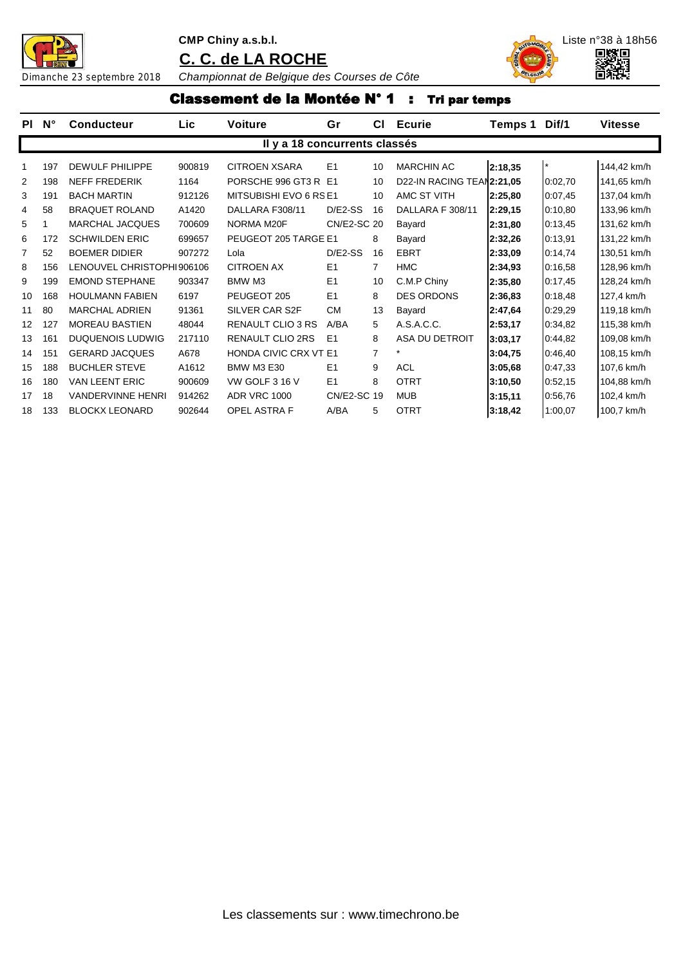



Dimanche 23 septembre 2018 *Championnat de Belgique des Courses de Côte*

#### Classement de la Montée N° 1 : Tri par temps

| <b>PI</b>         | $N^{\circ}$ | <b>Conducteur</b>         | Lic    | <b>Voiture</b>                | Gr             | СI              | <b>Ecurie</b>             | Temps 1 | Dif/1   | <b>Vitesse</b> |
|-------------------|-------------|---------------------------|--------|-------------------------------|----------------|-----------------|---------------------------|---------|---------|----------------|
|                   |             |                           |        | Il y a 18 concurrents classés |                |                 |                           |         |         |                |
|                   | 197         | <b>DEWULF PHILIPPE</b>    | 900819 | <b>CITROEN XSARA</b>          | E <sub>1</sub> | 10              | <b>MARCHIN AC</b>         | 2:18,35 |         | 144,42 km/h    |
| 2                 | 198         | <b>NEFF FREDERIK</b>      | 1164   | PORSCHE 996 GT3 R E1          |                | 10 <sup>1</sup> | D22-IN RACING TEAN2:21,05 |         | 0:02,70 | 141,65 km/h    |
| 3                 | 191         | <b>BACH MARTIN</b>        | 912126 | MITSUBISHI EVO 6 RS E1        |                | 10              | AMC ST VITH               | 2:25,80 | 0:07,45 | 137,04 km/h    |
| 4                 | 58          | <b>BRAQUET ROLAND</b>     | A1420  | DALLARA F308/11               | $D/E2-SS$      | 16              | DALLARA F 308/11          | 2:29,15 | 0:10,80 | 133,96 km/h    |
| 5                 |             | <b>MARCHAL JACQUES</b>    | 700609 | NORMA M20F                    | CN/E2-SC 20    |                 | Bayard                    | 2:31,80 | 0:13,45 | 131,62 km/h    |
| 6                 | 172         | <b>SCHWILDEN ERIC</b>     | 699657 | PEUGEOT 205 TARGE E1          |                | 8               | Bayard                    | 2:32,26 | 0:13,91 | 131,22 km/h    |
| 7                 | 52          | <b>BOEMER DIDIER</b>      | 907272 | Lola                          | $D/E2-SS$      | 16              | <b>EBRT</b>               | 2:33,09 | 0:14,74 | 130,51 km/h    |
| 8                 | 156         | LENOUVEL CHRISTOPHI906106 |        | <b>CITROEN AX</b>             | E <sub>1</sub> | $\overline{7}$  | <b>HMC</b>                | 2:34,93 | 0:16,58 | 128,96 km/h    |
| 9                 | 199         | <b>EMOND STEPHANE</b>     | 903347 | BMW M3                        | E1             | 10              | C.M.P Chiny               | 2:35,80 | 0:17,45 | 128,24 km/h    |
| 10                | 168         | <b>HOULMANN FABIEN</b>    | 6197   | PEUGEOT 205                   | E1             | 8               | <b>DES ORDONS</b>         | 2:36,83 | 0:18,48 | 127,4 km/h     |
| 11                | 80          | <b>MARCHAL ADRIEN</b>     | 91361  | SILVER CAR S2F                | <b>CM</b>      | 13              | Bayard                    | 2:47,64 | 0:29.29 | 119,18 km/h    |
| $12 \overline{ }$ | 127         | <b>MOREAU BASTIEN</b>     | 48044  | <b>RENAULT CLIO 3 RS</b>      | A/BA           | 5               | A.S.A.C.C.                | 2:53,17 | 0:34,82 | 115,38 km/h    |
| 13                | 161         | <b>DUQUENOIS LUDWIG</b>   | 217110 | <b>RENAULT CLIO 2RS</b>       | E <sub>1</sub> | 8               | ASA DU DETROIT            | 3:03,17 | 0:44,82 | 109,08 km/h    |
| 14                | 151         | <b>GERARD JACQUES</b>     | A678   | <b>HONDA CIVIC CRX VT E1</b>  |                | 7               |                           | 3:04,75 | 0:46,40 | 108,15 km/h    |
| 15                | 188         | <b>BUCHLER STEVE</b>      | A1612  | <b>BMW M3 E30</b>             | E <sub>1</sub> | 9               | <b>ACL</b>                | 3:05.68 | 0:47,33 | 107,6 km/h     |
| 16                | 180         | <b>VAN LEENT ERIC</b>     | 900609 | VW GOLF 3 16 V                | E1             | 8               | <b>OTRT</b>               | 3:10,50 | 0:52,15 | 104,88 km/h    |
| 17                | 18          | <b>VANDERVINNE HENRI</b>  | 914262 | <b>ADR VRC 1000</b>           | CN/E2-SC 19    |                 | <b>MUB</b>                | 3:15,11 | 0:56,76 | 102,4 km/h     |
| 18                | 133         | <b>BLOCKX LEONARD</b>     | 902644 | <b>OPEL ASTRA F</b>           | A/BA           | 5               | <b>OTRT</b>               | 3:18,42 | 1:00,07 | 100,7 km/h     |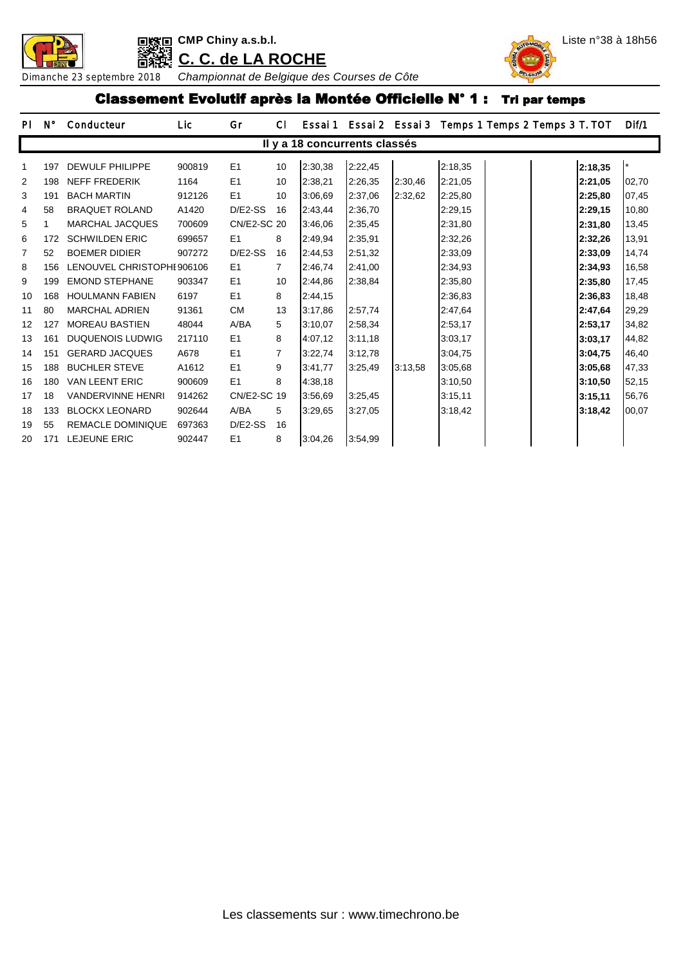



#### Classement Evolutif après la Montée Officielle N° 1 : Tri par temps

| <b>PI</b>         | N°  | Conducteur                 | Lic    | Gr                 | CI.            | Essai 1 |                               | Essai 2 Essai 3 | Temps 1 Temps 2 Temps 3 T. TOT |         | Dif/1 |
|-------------------|-----|----------------------------|--------|--------------------|----------------|---------|-------------------------------|-----------------|--------------------------------|---------|-------|
|                   |     |                            |        |                    |                |         | Il y a 18 concurrents classés |                 |                                |         |       |
| 1                 | 197 | <b>DEWULF PHILIPPE</b>     | 900819 | E1                 | 10             | 2:30,38 | 2:22,45                       |                 | 2:18,35                        | 2:18,35 |       |
| 2                 | 198 | <b>NEFF FREDERIK</b>       | 1164   | E1                 | 10             | 2:38,21 | 2:26,35                       | 2:30,46         | 2:21,05                        | 2:21,05 | 02,70 |
| 3                 | 191 | <b>BACH MARTIN</b>         | 912126 | E1                 | 10             | 3:06.69 | 2:37,06                       | 2:32,62         | 2:25,80                        | 2:25,80 | 07,45 |
| 4                 | 58  | <b>BRAQUET ROLAND</b>      | A1420  | $D/E2-SS$          | 16             | 2:43,44 | 2:36,70                       |                 | 2:29,15                        | 2:29,15 | 10,80 |
| 5                 |     | <b>MARCHAL JACQUES</b>     | 700609 | <b>CN/E2-SC 20</b> |                | 3:46,06 | 2:35,45                       |                 | 2:31,80                        | 2:31,80 | 13,45 |
| 6                 | 172 | <b>SCHWILDEN ERIC</b>      | 699657 | E <sub>1</sub>     | 8              | 2:49,94 | 2:35,91                       |                 | 2:32,26                        | 2:32,26 | 13,91 |
| 7                 | 52  | <b>BOEMER DIDIER</b>       | 907272 | $D/E2-SS$          | 16             | 2:44,53 | 2:51,32                       |                 | 2:33,09                        | 2:33,09 | 14,74 |
| 8                 | 156 | LENOUVEL CHRISTOPHI 906106 |        | E1                 | $\overline{7}$ | 2:46,74 | 2:41,00                       |                 | 2:34,93                        | 2:34,93 | 16,58 |
| 9                 | 199 | <b>EMOND STEPHANE</b>      | 903347 | E1                 | 10             | 2:44,86 | 2:38,84                       |                 | 2:35,80                        | 2:35,80 | 17,45 |
| 10                | 168 | <b>HOULMANN FABIEN</b>     | 6197   | E1                 | 8              | 2:44,15 |                               |                 | 2:36,83                        | 2:36,83 | 18,48 |
| 11                | 80  | <b>MARCHAL ADRIEN</b>      | 91361  | <b>CM</b>          | 13             | 3:17,86 | 2:57,74                       |                 | 2:47,64                        | 2:47,64 | 29,29 |
| $12 \overline{ }$ | 127 | <b>MOREAU BASTIEN</b>      | 48044  | A/BA               | 5              | 3:10,07 | 2:58,34                       |                 | 2:53,17                        | 2:53,17 | 34,82 |
| 13                | 161 | <b>DUQUENOIS LUDWIG</b>    | 217110 | E1                 | 8              | 4:07.12 | 3:11,18                       |                 | 3:03,17                        | 3:03,17 | 44,82 |
| 14                | 151 | <b>GERARD JACQUES</b>      | A678   | E1                 | 7              | 3:22,74 | 3:12,78                       |                 | 3:04,75                        | 3:04,75 | 46,40 |
| 15                | 188 | <b>BUCHLER STEVE</b>       | A1612  | E1                 | 9              | 3:41,77 | 3:25,49                       | 3:13,58         | 3:05,68                        | 3:05.68 | 47,33 |
| 16                | 180 | <b>VAN LEENT ERIC</b>      | 900609 | E1                 | 8              | 4:38,18 |                               |                 | 3:10,50                        | 3:10,50 | 52,15 |
| 17                | 18  | <b>VANDERVINNE HENRI</b>   | 914262 | CN/E2-SC 19        |                | 3:56.69 | 3:25,45                       |                 | 3:15,11                        | 3:15,11 | 56,76 |
| 18                | 133 | <b>BLOCKX LEONARD</b>      | 902644 | A/BA               | 5              | 3:29,65 | 3:27,05                       |                 | 3:18,42                        | 3:18,42 | 00,07 |
| 19                | 55  | <b>REMACLE DOMINIQUE</b>   | 697363 | $D/E2-SS$          | 16             |         |                               |                 |                                |         |       |
| 20                | 171 | <b>LEJEUNE ERIC</b>        | 902447 | E1                 | 8              | 3:04,26 | 3:54,99                       |                 |                                |         |       |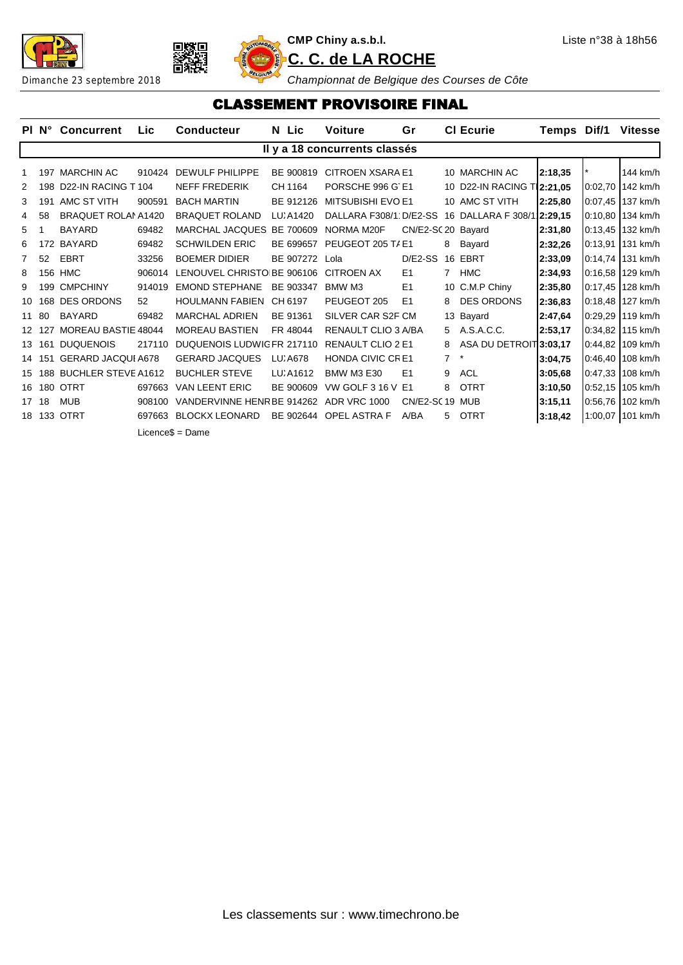





#### CLASSEMENT PROVISOIRE FINAL

|             |     | PI N° Concurrent           | Lic    | <b>Conducteur</b>          | N Lic     | <b>Voiture</b>                | Gr                 |                | <b>CI Ecurie</b>                                  | Temps Dif/1 |         | <b>Vitesse</b>   |
|-------------|-----|----------------------------|--------|----------------------------|-----------|-------------------------------|--------------------|----------------|---------------------------------------------------|-------------|---------|------------------|
|             |     |                            |        |                            |           | Il y a 18 concurrents classés |                    |                |                                                   |             |         |                  |
|             | 197 | <b>MARCHIN AC</b>          | 910424 | <b>DEWULF PHILIPPE</b>     | BE 900819 | <b>CITROEN XSARA E1</b>       |                    |                | 10 MARCHIN AC                                     | 2:18,35     |         | 144 km/h         |
| 2           | 198 | D22-IN RACING T104         |        | <b>NEFF FREDERIK</b>       | CH 1164   | PORSCHE 996 G E1              |                    |                | 10 D22-IN RACING T 2:21,05                        |             |         | 0:02.70 142 km/h |
| 3           | 191 | AMC ST VITH                | 900591 | <b>BACH MARTIN</b>         | BE 912126 | <b>MITSUBISHI EVO E1</b>      |                    |                | 10 AMC ST VITH                                    | 2:25,80     |         | 0:07,45 137 km/h |
| 4           | 58  | <b>BRAQUET ROLAMA1420</b>  |        | <b>BRAQUET ROLAND</b>      | LU. A1420 |                               |                    |                | DALLARA F308/1 D/E2-SS 16 DALLARA F 308/1 2:29,15 |             |         | 0:10,80 134 km/h |
| 5           |     | <b>BAYARD</b>              | 69482  | MARCHAL JACQUES BE 700609  |           | NORMA M20F                    | CN/E2-SC 20 Bayard |                |                                                   | 2:31,80     |         | 0:13,45 132 km/h |
| 6           | 172 | BAYARD                     | 69482  | <b>SCHWILDEN ERIC</b>      | BE 699657 | PEUGEOT 205 T/ E1             |                    | 8              | Bayard                                            | 2:32,26     | 0:13.91 | 131 km/h         |
| $7^{\circ}$ | 52  | <b>EBRT</b>                | 33256  | <b>BOEMER DIDIER</b>       | BE 907272 | Lola                          | $D/E2-SS$          |                | 16 EBRT                                           | 2:33,09     |         | 0:14,74 131 km/h |
| 8           | 156 | <b>HMC</b>                 | 906014 | LENOUVEL CHRISTO BE 906106 |           | CITROEN AX                    | E <sub>1</sub>     | $7^{\circ}$    | <b>HMC</b>                                        | 2:34,93     |         | 0:16,58 129 km/h |
| 9           | 199 | <b>CMPCHINY</b>            | 914019 | <b>EMOND STEPHANE</b>      | BE 903347 | BMW M3                        | E <sub>1</sub>     |                | 10 C.M.P Chiny                                    | 2:35,80     |         | 0:17,45 128 km/h |
| 10          | 168 | <b>DES ORDONS</b>          | 52     | <b>HOULMANN FABIEN</b>     | CH 6197   | PEUGEOT 205                   | E1                 | 8              | <b>DES ORDONS</b>                                 | 2:36,83     |         | 0:18.48 127 km/h |
| 11          | 80  | <b>BAYARD</b>              | 69482  | <b>MARCHAL ADRIEN</b>      | BE 91361  | SILVER CAR S2F CM             |                    |                | 13 Bayard                                         | 2:47,64     |         | 0:29.29 119 km/h |
| 12          | 127 | <b>MOREAU BASTIE 48044</b> |        | <b>MOREAU BASTIEN</b>      | FR 48044  | <b>RENAULT CLIO 3 A/BA</b>    |                    | 5.             | A.S.A.C.C.                                        | 2:53,17     |         | 0:34,82 115 km/h |
| 13          | 161 | <b>DUQUENOIS</b>           | 217110 | DUQUENOIS LUDWIG FR 217110 |           | RENAULT CLIO 2 E1             |                    | 8              | ASA DU DETROIT3:03,17                             |             |         | 0:44,82 109 km/h |
| 14          | 151 | <b>GERARD JACQUI A678</b>  |        | <b>GERARD JACQUES</b>      | LU, A678  | <b>HONDA CIVIC CRE1</b>       |                    | $\overline{7}$ |                                                   | 3:04,75     |         | 0:46.40 108 km/h |
| 15          | 188 | <b>BUCHLER STEVE A1612</b> |        | <b>BUCHLER STEVE</b>       | LU. A1612 | <b>BMW M3 E30</b>             | E <sub>1</sub>     | 9              | <b>ACL</b>                                        | 3:05,68     |         | 0:47,33 108 km/h |
| 16          | 180 | <b>OTRT</b>                | 697663 | <b>VAN LEENT ERIC</b>      | BE 900609 | <b>VW GOLF 3 16 V E1</b>      |                    | 8              | <b>OTRT</b>                                       | 3:10,50     |         | 0:52,15 105 km/h |
| 17          | 18  | <b>MUB</b>                 | 908100 | VANDERVINNE HENR BE 914262 |           | <b>ADR VRC 1000</b>           | CN/E2-SC19 MUB     |                |                                                   | 3:15,11     |         | 0:56,76 102 km/h |
| 18          |     | 133 OTRT                   | 697663 | <b>BLOCKX LEONARD</b>      | BE 902644 | <b>OPEL ASTRA F</b>           | A/BA               | 5              | <b>OTRT</b>                                       | 3:18,42     |         | 1:00,07 101 km/h |
|             |     |                            |        | $Licence$ \$ = Dame        |           |                               |                    |                |                                                   |             |         |                  |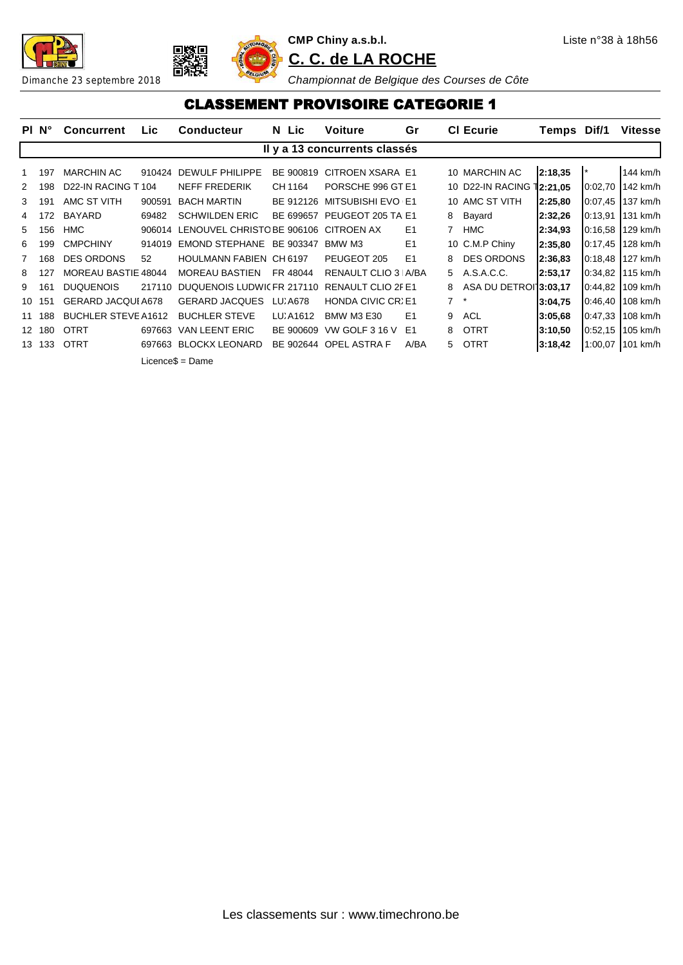





#### CLASSEMENT PROVISOIRE CATEGORIE 1

|              | PI N°  | <b>Concurrent</b>                           | <b>Lic</b> | <b>Conducteur</b>              | N Lic     | <b>Voiture</b>                | Gr             |    | <b>CI Ecurie</b>                   | Temps Dif/1 |                | <b>Vitesse</b> |
|--------------|--------|---------------------------------------------|------------|--------------------------------|-----------|-------------------------------|----------------|----|------------------------------------|-------------|----------------|----------------|
|              |        |                                             |            |                                |           | Il y a 13 concurrents classés |                |    |                                    |             |                |                |
|              | 197    | <b>MARCHIN AC</b>                           | 910424     | DEWULF PHILIPPE                | BE 900819 | CITROEN XSARA E1              |                |    | 10 MARCHIN AC                      | 2:18,35     | $\mathbf{I}$ * | 144 km/h       |
| 2            | 198    | D <sub>22</sub> -IN RACING T <sub>104</sub> |            | NEFF FREDERIK                  | CH 1164   | PORSCHE 996 GT E1             |                |    | 10 D22-IN RACING 12:21,05          |             | 0:02,70        | $142$ km/h     |
| 3            | 191    | AMC ST VITH                                 | 900591     | <b>BACH MARTIN</b>             | BE 912126 | <b>MITSUBISHI EVO E1</b>      |                |    | 10 AMC ST VITH                     | 2:25,80     | 0:07,45        | $137$ km/h     |
| 4            | 172    | <b>BAYARD</b>                               | 69482      | <b>SCHWILDEN ERIC</b>          | BE 699657 | PEUGEOT 205 TA E1             |                | 8  | Bayard                             | 2:32,26     | 0:13,91        | 131 km/h       |
| 5            | 156    | HMC                                         | 906014     | LENOUVEL CHRISTC BE 906106     |           | CITROEN AX                    | E <sub>1</sub> | 7  | <b>HMC</b>                         | 2:34,93     | 0:16,58        | $129$ km/h     |
| 6            | 199    | <b>CMPCHINY</b>                             | 914019     | <b>EMOND STEPHANE</b>          | BE 903347 | BMW M3                        | E <sub>1</sub> |    | 10 C.M.P Chiny                     | 2:35,80     | 0:17,45        | $128$ km/h     |
| $\mathbf{7}$ | 168    | <b>DES ORDONS</b>                           | 52         | <b>HOULMANN FABIEN CH 6197</b> |           | PEUGEOT 205                   | E1             | 8  | <b>DES ORDONS</b>                  | 2:36,83     | 0:18,48        | 127 km/h       |
| 8            | 127    | MOREAU BASTIE 48044                         |            | <b>MOREAU BASTIEN</b>          | FR 48044  | RENAULT CLIO 3   A/BA         |                | 5  | A.S.A.C.C.                         | 2:53,17     | 0:34,82        | $115$ km/h     |
| 9            | 161    | <b>DUQUENOIS</b>                            | 217110     | DUQUENOIS LUDWICFR 217110      |           | <b>RENAULT CLIO 2F E1</b>     |                | 8  | ASA DU DETROI <sup>1</sup> 3:03,17 |             | 0:44,82        | $109$ km/h     |
| 10           | 151    | <b>GERARD JACQUI A678</b>                   |            | <b>GERARD JACQUES</b>          | LU, A678  | <b>HONDA CIVIC CRIE1</b>      |                | 7  |                                    | 3:04,75     | 0:46,40        | $108$ km/h     |
|              | 11 188 | <b>BUCHLER STEVE A1612</b>                  |            | <b>BUCHLER STEVE</b>           | LU A1612  | <b>BMW M3 E30</b>             | E <sub>1</sub> | 9  | <b>ACL</b>                         | 3:05.68     | 0:47,33        | $108$ km/h     |
|              | 12 180 | <b>OTRT</b>                                 | 697663     | VAN LEENT ERIC                 | BE 900609 | VW GOLF 3 16 V                | E1             | 8  | <b>OTRT</b>                        | 3:10,50     | 0:52,15        | $105$ km/h     |
|              | 13 133 | <b>OTRT</b>                                 | 697663     | <b>BLOCKX LEONARD</b>          | BE 902644 | <b>OPEL ASTRA F</b>           | A/BA           | 5. | <b>OTRT</b>                        | 3:18,42     | 1:00,07        | 101 km/h       |
|              |        |                                             |            | $Licence$ \$ = Dame            |           |                               |                |    |                                    |             |                |                |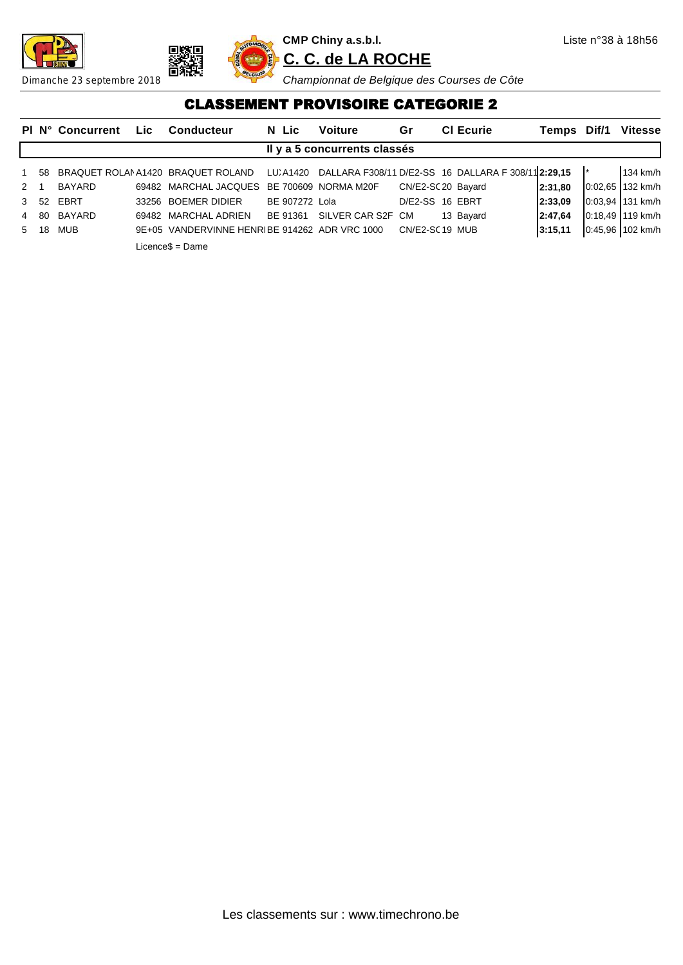





#### CLASSEMENT PROVISOIRE CATEGORIE 2

|             |                 | <b>PI N° Concurrent</b> | Lic. | <b>Conducteur</b>                                                                               | N Lic          | <b>Voiture</b>               | Gr                 | <b>CI Ecurie</b> | Temps Dif/1 | <b>Vitesse</b>   |
|-------------|-----------------|-------------------------|------|-------------------------------------------------------------------------------------------------|----------------|------------------------------|--------------------|------------------|-------------|------------------|
|             |                 |                         |      |                                                                                                 |                | Il y a 5 concurrents classés |                    |                  |             |                  |
| 1 58        |                 |                         |      | BRAQUET ROLAN A1420 BRAQUET ROLAND LU, A1420 DALLARA F308/11 D/E2-SS 16 DALLARA F308/11 2:29,15 |                |                              |                    |                  |             | 134 km/h         |
| $2 \quad 1$ |                 | <b>BAYARD</b>           |      | 69482 MARCHAL JACQUES                                                                           |                | BE 700609 NORMA M20F         | CN/E2-SC 20 Bayard |                  | 2:31.80     | 0:02.65 132 km/h |
|             | 3 <sub>52</sub> | EBRT                    |      | 33256 BOEMER DIDIER                                                                             | BE 907272 Lola |                              | D/E2-SS 16 EBRT    |                  | 12:33.09    | 0:03.94 131 km/h |
|             | 4 80            | BAYARD                  |      | 69482 MARCHAL ADRIEN                                                                            |                | BE 91361 SILVER CAR S2F CM   |                    | 13 Bayard        | 2:47.64     | 0:18,49 119 km/h |
| 5 18        |                 | <b>MUB</b>              |      | 9E+05 VANDERVINNE HENRIBE 914262 ADR VRC 1000                                                   |                |                              | CN/E2-SC19 MUB     |                  | 3:15,11     | 0:45,96 102 km/h |
|             |                 |                         |      | Licence\$ = Dame                                                                                |                |                              |                    |                  |             |                  |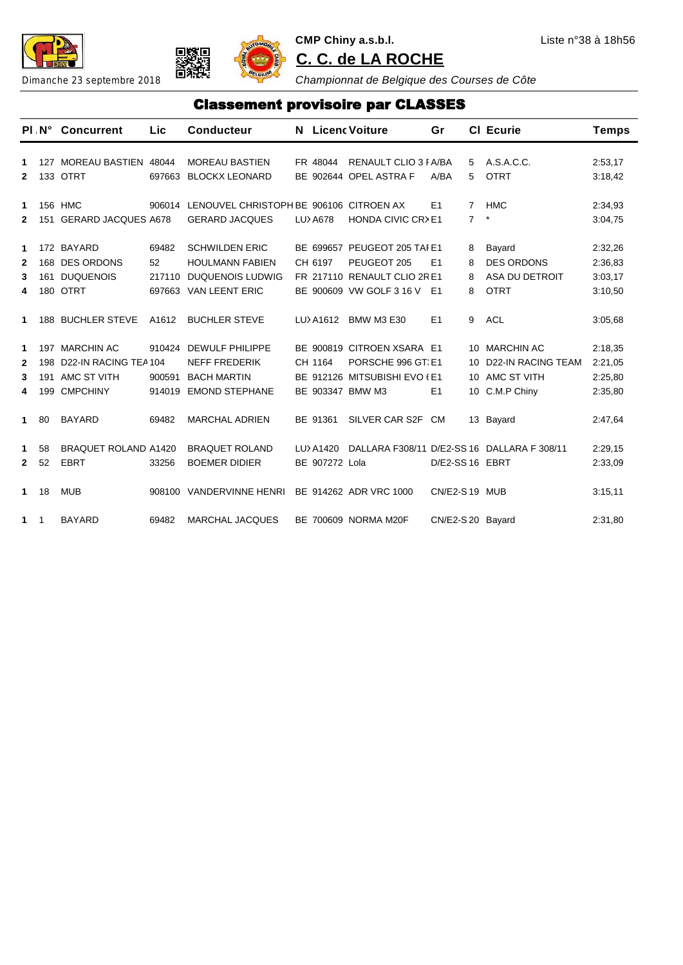



**CMP Chiny a.s.b.l.** Liste n°38 à 18h56 **C. C. de LA ROCHE**

Dimanche 23 septembre 2018 **C. C. de LA ROCHE**<br>Dimanche 23 septembre 2018 **C. C. de LA ROCHE** 

#### Classement provisoire par CLASSES

|                                       |                   | PLN° Concurrent                                                           | <b>Lic</b>                      | <b>Conducteur</b>                                                                             | N.                          | <b>Licenc Voiture</b>                                                                                  | Gr                |                      | <b>CI</b> Ecurie                                                             | <b>Temps</b>                             |
|---------------------------------------|-------------------|---------------------------------------------------------------------------|---------------------------------|-----------------------------------------------------------------------------------------------|-----------------------------|--------------------------------------------------------------------------------------------------------|-------------------|----------------------|------------------------------------------------------------------------------|------------------------------------------|
| 1<br>$\mathbf{2}$                     |                   | 127 MOREAU BASTIEN 48044<br>133 OTRT                                      | 697663                          | <b>MOREAU BASTIEN</b><br><b>BLOCKX LEONARD</b>                                                | FR 48044                    | RENAULT CLIO 3 FA/BA<br>BE 902644 OPEL ASTRA F                                                         | A/BA              | 5<br>5               | A.S.A.C.C.<br><b>OTRT</b>                                                    | 2:53,17<br>3:18,42                       |
| 1<br>$\mathbf{2}$                     | 151               | 156 HMC<br><b>GERARD JACQUES A678</b>                                     | 906014                          | LENOUVEL CHRISTOPH BE 906106 CITROEN AX<br><b>GERARD JACQUES</b>                              | LU) A678                    | HONDA CIVIC CR>E1                                                                                      | E1                | 7<br>$\overline{7}$  | <b>HMC</b><br>*                                                              | 2:34,93<br>3:04,75                       |
| $\mathbf 1$<br>$\mathbf{2}$<br>3<br>4 | 180               | 172 BAYARD<br>168 DES ORDONS<br>161 DUQUENOIS<br><b>OTRT</b>              | 69482<br>52<br>217110<br>697663 | <b>SCHWILDEN ERIC</b><br><b>HOULMANN FABIEN</b><br><b>DUQUENOIS LUDWIG</b><br>VAN LEENT ERIC  | CH 6197                     | BE 699657 PEUGEOT 205 TAI E1<br>PEUGEOT 205<br>FR 217110 RENAULT CLIO 2RE1<br>BE 900609 VW GOLF 3 16 V | E1<br>E1          | 8<br>8<br>8<br>8     | Bayard<br><b>DES ORDONS</b><br>ASA DU DETROIT<br><b>OTRT</b>                 | 2:32,26<br>2:36.83<br>3:03,17<br>3:10,50 |
| 1                                     |                   | 188 BUCHLER STEVE                                                         | A1612                           | <b>BUCHLER STEVE</b>                                                                          | LU) A1612                   | <b>BMW M3 E30</b>                                                                                      | E <sub>1</sub>    | 9                    | <b>ACL</b>                                                                   | 3:05.68                                  |
| 1<br>$\mathbf{2}$<br>3<br>4           | 198<br>191<br>199 | 197 MARCHIN AC<br>D22-IN RACING TEA 104<br>AMC ST VITH<br><b>CMPCHINY</b> | 910424<br>900591<br>914019      | <b>DEWULF PHILIPPE</b><br><b>NEFF FREDERIK</b><br><b>BACH MARTIN</b><br><b>EMOND STEPHANE</b> | CH 1164<br>BE 903347 BMW M3 | BE 900819 CITROEN XSARA E1<br>PORSCHE 996 GT E1<br>BE 912126 MITSUBISHI EVO (E1                        | E <sub>1</sub>    | 10<br>10<br>10<br>10 | <b>MARCHIN AC</b><br><b>D22-IN RACING TEAM</b><br>AMC ST VITH<br>C.M.P Chiny | 2:18,35<br>2:21,05<br>2:25,80<br>2:35,80 |
| 1                                     | 80                | <b>BAYARD</b>                                                             | 69482                           | <b>MARCHAL ADRIEN</b>                                                                         | BE 91361                    | SILVER CAR S2F CM                                                                                      |                   |                      | 13 Bayard                                                                    | 2:47,64                                  |
| 1<br>$\mathbf{2}$                     | 58<br>52          | <b>BRAQUET ROLAND A1420</b><br><b>EBRT</b>                                | 33256                           | <b>BRAQUET ROLAND</b><br><b>BOEMER DIDIER</b>                                                 | LU) A1420<br>BE 907272 Lola |                                                                                                        | D/E2-SS 16 EBRT   |                      | DALLARA F308/11 D/E2-SS 16 DALLARA F 308/11                                  | 2:29,15<br>2:33,09                       |
| $\mathbf 1$                           | 18                | <b>MUB</b>                                                                | 908100                          | <b>VANDERVINNE HENRI</b>                                                                      |                             | BE 914262 ADR VRC 1000                                                                                 | CN/E2-S19 MUB     |                      |                                                                              | 3:15,11                                  |
| $\mathbf{1}$                          | -1                | <b>BAYARD</b>                                                             | 69482                           | <b>MARCHAL JACQUES</b>                                                                        |                             | BE 700609 NORMA M20F                                                                                   | CN/E2-S 20 Bayard |                      |                                                                              | 2:31,80                                  |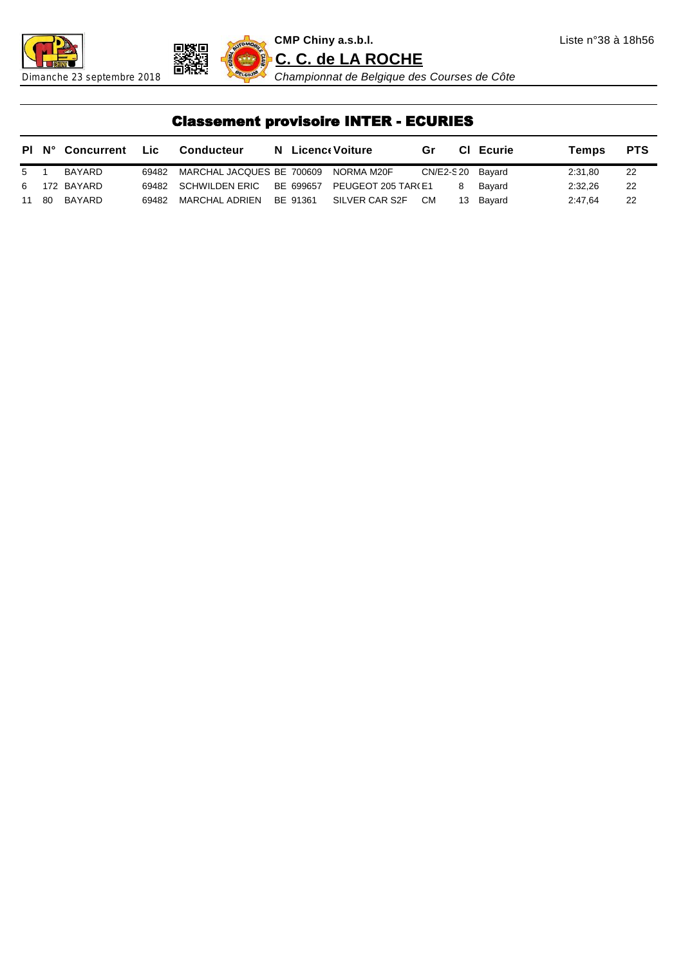





Dimanche 23 septembre 2018 *Championnat de Belgique des Courses de Côte*

### Classement provisoire INTER - ECURIES

|       | <b>PI N° Concurrent</b> | Lic.  | Conducteur                           |          | <b>N</b> Licenc Voiture | Gr               |    | <b>CI</b> Ecurie | Temps   | <b>PTS</b> |
|-------|-------------------------|-------|--------------------------------------|----------|-------------------------|------------------|----|------------------|---------|------------|
| 5 1   | BAYARD                  | 69482 | MARCHAL JACQUES BE 700609 NORMA M20F |          |                         | CN/E2-S20 Bayard |    |                  | 2:31.80 | 22         |
|       | 6 172 BAYARD            |       | 69482 SCHWILDEN ERIC BE 699657       |          | PEUGEOT 205 TAR(E1      |                  | 8  | Bavard           | 2:32.26 | 22         |
| 11 80 | BAYARD                  | 69482 | MARCHAL ADRIEN                       | BE 91361 | SILVER CAR S2F          | CM.              | 13 | Bayard           | 2:47.64 | 22         |